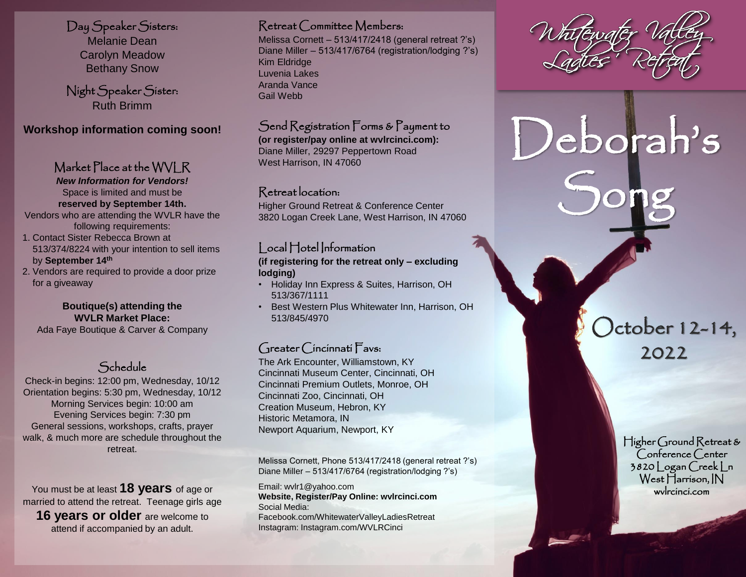Day Speaker Sisters:

Melanie Dean Carolyn Meadow Bethany Snow

Night Speaker Sister: Ruth Brimm

**Workshop information coming soon!**

# Market Place at the WVLR

*New Information for Vendors!* Space is limited and must be **reserved by September 14th.** 

Vendors who are attending the WVLR have the following requirements:

- 1. Contact Sister Rebecca Brown at 513/374/8224 with your intention to sell items by **September 14th**
- 2. Vendors are required to provide a door prize for a giveaway

## **Boutique(s) attending the WVLR Market Place:**

Ada Faye Boutique & Carver & Company **October 12-14,** 

# Schedule

Check-in begins: 12:00 pm, Wednesday, 10/12 Orientation begins: 5:30 pm, Wednesday, 10/12 Morning Services begin: 10:00 am Evening Services begin: 7:30 pm General sessions, workshops, crafts, prayer walk, & much more are schedule throughout the retreat.

You must be at least **18 years** of age or married to attend the retreat. Teenage girls age **16 years or older** are welcome to attend if accompanied by an adult.

## Retreat Committee Members:

Melissa Cornett – 513/417/2418 (general retreat ?'s) Diane Miller – 513/417/6764 (registration/lodging ?'s) Kim Eldridge Luvenia Lakes Aranda Vance Gail Webb

# Send Registration Forms & Payment to

**(or register/pay online at wvlrcinci.com):** Diane Miller, 29297 Peppertown Road West Harrison, IN 47060

## Retreat location:

Higher Ground Retreat & Conference Center 3820 Logan Creek Lane, West Harrison, IN 47060

# Local Hotel Information

**(if registering for the retreat only – excluding lodging)**

- Holiday Inn Express & Suites, Harrison, OH 513/367/1111
- Best Western Plus Whitewater Inn, Harrison, OH 513/845/4970

# Greater Cincinnati Favs:

The Ark Encounter, Williamstown, KY Cincinnati Museum Center, Cincinnati, OH Cincinnati Premium Outlets, Monroe, OH Cincinnati Zoo, Cincinnati, OH Creation Museum, Hebron, KY Historic Metamora, IN Newport Aquarium, Newport, KY

Melissa Cornett, Phone 513/417/2418 (general retreat ?'s) Diane Miller – 513/417/6764 (registration/lodging ?'s)

Email: wvlr1@yahoo.com **Website, Register/Pay Online: wvlrcinci.com** Social Media: Facebook.com/WhitewaterValleyLadiesRetreat Instagram: Instagram.com/WVLRCinci

Deborah's

Song

2022

Higher Ground Retreat & Conference Center 3820 Logan Creek Ln West Harrison, IN wvlrcinci.com